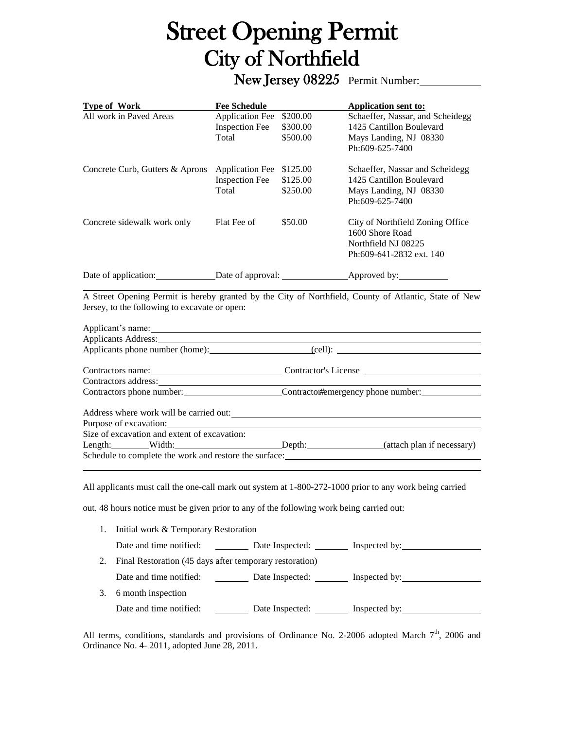## Street Opening Permit City of Northfield

New Jersey 08225 Permit Number:

| Type of Work                                                                                                                                                                                                                   | <b>Fee Schedule</b>                                         |                                                              | <b>Application sent to:</b>                                                                                                                                                                                                   |
|--------------------------------------------------------------------------------------------------------------------------------------------------------------------------------------------------------------------------------|-------------------------------------------------------------|--------------------------------------------------------------|-------------------------------------------------------------------------------------------------------------------------------------------------------------------------------------------------------------------------------|
| All work in Paved Areas                                                                                                                                                                                                        | <b>Application Fee</b>                                      | \$200.00                                                     | Schaeffer, Nassar, and Scheidegg                                                                                                                                                                                              |
|                                                                                                                                                                                                                                | <b>Inspection Fee</b>                                       | \$300.00                                                     | 1425 Cantillon Boulevard                                                                                                                                                                                                      |
|                                                                                                                                                                                                                                | Total                                                       | \$500.00                                                     | Mays Landing, NJ 08330                                                                                                                                                                                                        |
|                                                                                                                                                                                                                                |                                                             |                                                              | Ph:609-625-7400                                                                                                                                                                                                               |
| Concrete Curb, Gutters & Aprons                                                                                                                                                                                                | <b>Application Fee</b>                                      | \$125.00                                                     | Schaeffer, Nassar and Scheidegg                                                                                                                                                                                               |
|                                                                                                                                                                                                                                | <b>Inspection Fee</b>                                       | \$125.00                                                     | 1425 Cantillon Boulevard                                                                                                                                                                                                      |
|                                                                                                                                                                                                                                | <b>Total</b>                                                | \$250.00                                                     | Mays Landing, NJ 08330                                                                                                                                                                                                        |
|                                                                                                                                                                                                                                |                                                             |                                                              | Ph:609-625-7400                                                                                                                                                                                                               |
| Concrete sidewalk work only                                                                                                                                                                                                    | Flat Fee of                                                 | \$50.00                                                      | City of Northfield Zoning Office                                                                                                                                                                                              |
|                                                                                                                                                                                                                                |                                                             |                                                              | 1600 Shore Road                                                                                                                                                                                                               |
|                                                                                                                                                                                                                                |                                                             |                                                              | Northfield NJ 08225                                                                                                                                                                                                           |
|                                                                                                                                                                                                                                |                                                             |                                                              | Ph:609-641-2832 ext. 140                                                                                                                                                                                                      |
|                                                                                                                                                                                                                                |                                                             |                                                              |                                                                                                                                                                                                                               |
|                                                                                                                                                                                                                                |                                                             |                                                              | A Street Opening Permit is hereby granted by the City of Northfield, County of Atlantic, State of New                                                                                                                         |
| Jersey, to the following to excavate or open:                                                                                                                                                                                  |                                                             |                                                              |                                                                                                                                                                                                                               |
| Applicant's name: example and a series of the series of the series of the series of the series of the series of the series of the series of the series of the series of the series of the series of the series of the series o |                                                             |                                                              |                                                                                                                                                                                                                               |
|                                                                                                                                                                                                                                |                                                             |                                                              | Applicants Address: No. 2014. The Contract of the Contract of the Contract of the Contract of the Contract of the Contract of the Contract of the Contract of the Contract of the Contract of the Contract of the Contract of |
|                                                                                                                                                                                                                                |                                                             |                                                              | Applicants phone number (home): (cell): (cell):                                                                                                                                                                               |
|                                                                                                                                                                                                                                | Contractors name: Contractor's License Contractor's License |                                                              |                                                                                                                                                                                                                               |
| Contractors address: Note that the contractors and the set of the contractors and the contractors and the contractors and the contractors and the contractors and the contractors and the contractors and the contractors and  |                                                             |                                                              |                                                                                                                                                                                                                               |
|                                                                                                                                                                                                                                |                                                             | Contractors phone number: Contractor#emergency phone number: |                                                                                                                                                                                                                               |
| Address where work will be carried out:                                                                                                                                                                                        |                                                             |                                                              |                                                                                                                                                                                                                               |
|                                                                                                                                                                                                                                |                                                             |                                                              |                                                                                                                                                                                                                               |
| Size of excavation and extent of excavation:                                                                                                                                                                                   |                                                             |                                                              |                                                                                                                                                                                                                               |

Length: Width: Width: Depth: (attach plan if necessary) Schedule to complete the work and restore the surface:

All applicants must call the one-call mark out system at 1-800-272-1000 prior to any work being carried

out. 48 hours notice must be given prior to any of the following work being carried out:

|    | 1. Initial work & Temporary Restoration                 |                 |                               |  |  |
|----|---------------------------------------------------------|-----------------|-------------------------------|--|--|
|    | Date and time notified:                                 | Date Inspected: | Inspected by:                 |  |  |
| 2. | Final Restoration (45 days after temporary restoration) |                 |                               |  |  |
|    | Date and time notified:<br>and the state of the         |                 | Date Inspected: Inspected by: |  |  |
| 3. | 6 month inspection                                      |                 |                               |  |  |
|    | Date and time notified:                                 | Date Inspected: | Inspected by:                 |  |  |

All terms, conditions, standards and provisions of Ordinance No. 2-2006 adopted March 7<sup>th</sup>, 2006 and Ordinance No. 4- 2011, adopted June 28, 2011.